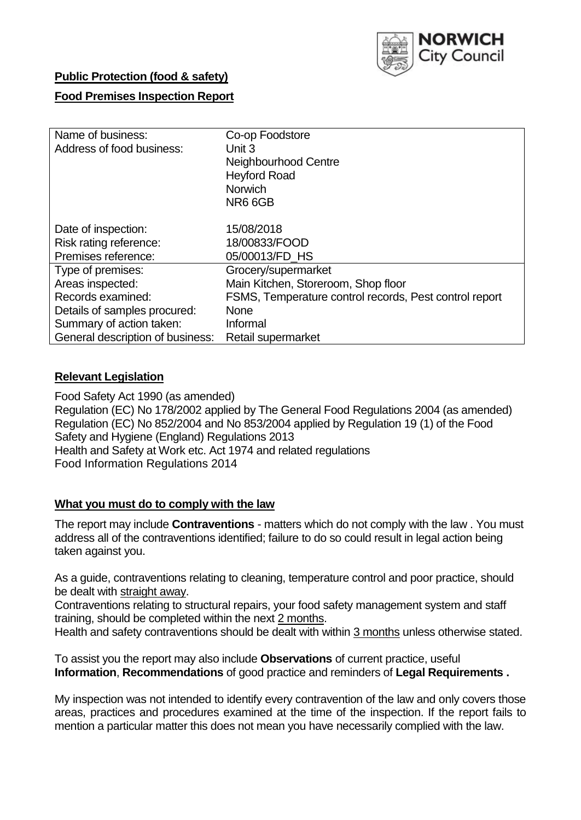

## **Public Protection (food & safety)**

## **Food Premises Inspection Report**

| Name of business:                | Co-op Foodstore                                        |
|----------------------------------|--------------------------------------------------------|
| Address of food business:        | Unit 3                                                 |
|                                  | Neighbourhood Centre                                   |
|                                  | <b>Heyford Road</b>                                    |
|                                  | <b>Norwich</b>                                         |
|                                  | NR6 6GB                                                |
|                                  |                                                        |
| Date of inspection:              | 15/08/2018                                             |
| Risk rating reference:           | 18/00833/FOOD                                          |
| Premises reference:              | 05/00013/FD_HS                                         |
| Type of premises:                | Grocery/supermarket                                    |
| Areas inspected:                 | Main Kitchen, Storeroom, Shop floor                    |
| Records examined:                | FSMS, Temperature control records, Pest control report |
| Details of samples procured:     | <b>None</b>                                            |
| Summary of action taken:         | Informal                                               |
| General description of business: | Retail supermarket                                     |

### **Relevant Legislation**

Food Safety Act 1990 (as amended) Regulation (EC) No 178/2002 applied by The General Food Regulations 2004 (as amended) Regulation (EC) No 852/2004 and No 853/2004 applied by Regulation 19 (1) of the Food Safety and Hygiene (England) Regulations 2013 Health and Safety at Work etc. Act 1974 and related regulations Food Information Regulations 2014

### **What you must do to comply with the law**

The report may include **Contraventions** - matters which do not comply with the law . You must address all of the contraventions identified; failure to do so could result in legal action being taken against you.

As a guide, contraventions relating to cleaning, temperature control and poor practice, should be dealt with straight away.

Contraventions relating to structural repairs, your food safety management system and staff training, should be completed within the next 2 months.

Health and safety contraventions should be dealt with within 3 months unless otherwise stated.

To assist you the report may also include **Observations** of current practice, useful **Information**, **Recommendations** of good practice and reminders of **Legal Requirements .**

My inspection was not intended to identify every contravention of the law and only covers those areas, practices and procedures examined at the time of the inspection. If the report fails to mention a particular matter this does not mean you have necessarily complied with the law.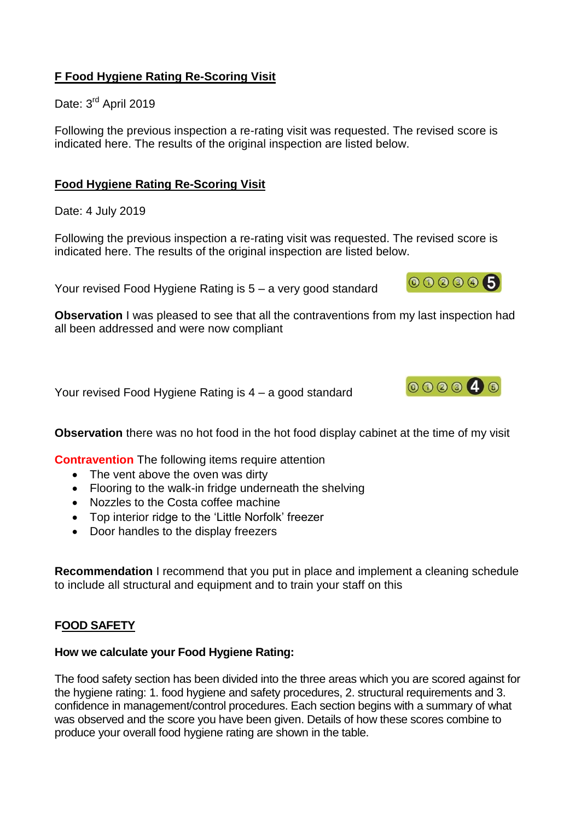## **F Food Hygiene Rating Re-Scoring Visit**

Date: 3<sup>rd</sup> April 2019

Following the previous inspection a re-rating visit was requested. The revised score is indicated here. The results of the original inspection are listed below.

## **Food Hygiene Rating Re-Scoring Visit**

Date: 4 July 2019

Following the previous inspection a re-rating visit was requested. The revised score is indicated here. The results of the original inspection are listed below.

Your revised Food Hygiene Rating is 5 – a very good standard



**Observation** I was pleased to see that all the contraventions from my last inspection had all been addressed and were now compliant

Your revised Food Hygiene Rating is 4 – a good standard



**Observation** there was no hot food in the hot food display cabinet at the time of my visit

**Contravention** The following items require attention

- The vent above the oven was dirty
- Flooring to the walk-in fridge underneath the shelving
- Nozzles to the Costa coffee machine
- Top interior ridge to the 'Little Norfolk' freezer
- Door handles to the display freezers

**Recommendation** I recommend that you put in place and implement a cleaning schedule to include all structural and equipment and to train your staff on this

## **FOOD SAFETY**

### **How we calculate your Food Hygiene Rating:**

The food safety section has been divided into the three areas which you are scored against for the hygiene rating: 1. food hygiene and safety procedures, 2. structural requirements and 3. confidence in management/control procedures. Each section begins with a summary of what was observed and the score you have been given. Details of how these scores combine to produce your overall food hygiene rating are shown in the table.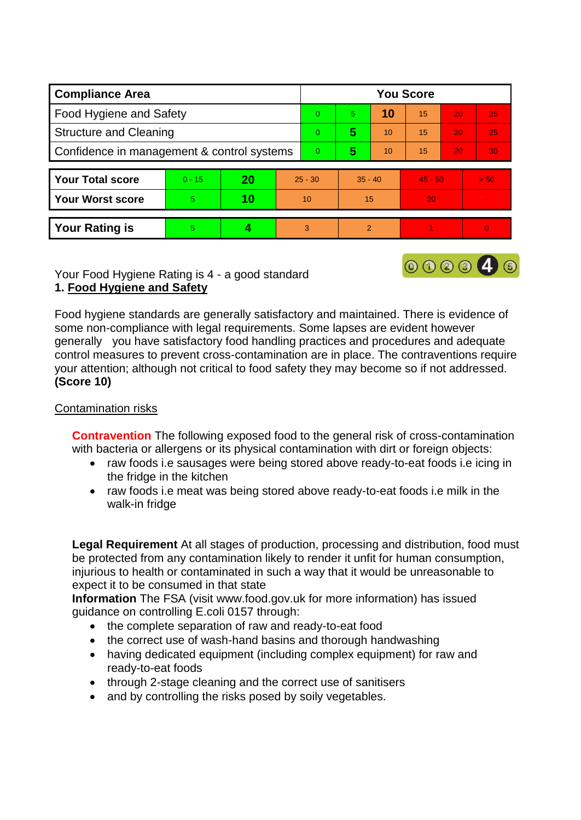| <b>Compliance Area</b>                     |          |    |           | <b>You Score</b> |                |    |           |    |                 |  |  |
|--------------------------------------------|----------|----|-----------|------------------|----------------|----|-----------|----|-----------------|--|--|
| Food Hygiene and Safety                    |          |    |           | $\Omega$         | 5              | 10 | 15        | 20 | 25              |  |  |
| <b>Structure and Cleaning</b>              |          |    |           | $\overline{0}$   | 5              | 10 | 15        | 20 | 25              |  |  |
| Confidence in management & control systems |          |    |           | $\Omega$         | 5              | 10 | 15        | 20 | 30 <sub>1</sub> |  |  |
|                                            |          |    |           |                  |                |    |           |    |                 |  |  |
| <b>Your Total score</b>                    | $0 - 15$ | 20 | $25 - 30$ |                  | $35 - 40$      |    | $45 - 50$ |    | > 50            |  |  |
| <b>Your Worst score</b>                    | 5        | 10 | 10        |                  | 15             |    | 20        |    |                 |  |  |
|                                            |          |    |           |                  |                |    |           |    |                 |  |  |
| <b>Your Rating is</b>                      | 5        |    |           | 3                | $\overline{2}$ |    |           |    | $\Omega$        |  |  |

Your Food Hygiene Rating is 4 - a good standard **1. Food Hygiene and Safety**

Food hygiene standards are generally satisfactory and maintained. There is evidence of some non-compliance with legal requirements. Some lapses are evident however generally you have satisfactory food handling practices and procedures and adequate control measures to prevent cross-contamination are in place. The contraventions require your attention; although not critical to food safety they may become so if not addressed. **(Score 10)**

000046

### Contamination risks

**Contravention** The following exposed food to the general risk of cross-contamination with bacteria or allergens or its physical contamination with dirt or foreign objects:

- raw foods i.e sausages were being stored above ready-to-eat foods i.e icing in the fridge in the kitchen
- raw foods i.e meat was being stored above ready-to-eat foods i.e milk in the walk-in fridge

**Legal Requirement** At all stages of production, processing and distribution, food must be protected from any contamination likely to render it unfit for human consumption, injurious to health or contaminated in such a way that it would be unreasonable to expect it to be consumed in that state

**Information** The FSA (visit www.food.gov.uk for more information) has issued guidance on controlling E.coli 0157 through:

- the complete separation of raw and ready-to-eat food
- the correct use of wash-hand basins and thorough handwashing
- having dedicated equipment (including complex equipment) for raw and ready-to-eat foods
- through 2-stage cleaning and the correct use of sanitisers
- and by controlling the risks posed by soily vegetables.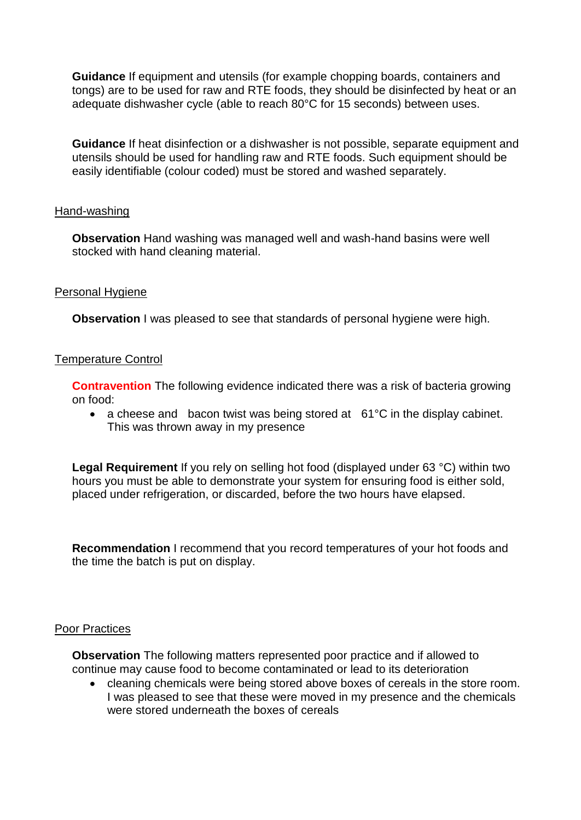**Guidance** If equipment and utensils (for example chopping boards, containers and tongs) are to be used for raw and RTE foods, they should be disinfected by heat or an adequate dishwasher cycle (able to reach 80°C for 15 seconds) between uses.

**Guidance** If heat disinfection or a dishwasher is not possible, separate equipment and utensils should be used for handling raw and RTE foods. Such equipment should be easily identifiable (colour coded) must be stored and washed separately.

### Hand-washing

**Observation** Hand washing was managed well and wash-hand basins were well stocked with hand cleaning material.

### Personal Hygiene

**Observation** I was pleased to see that standards of personal hygiene were high.

### Temperature Control

**Contravention** The following evidence indicated there was a risk of bacteria growing on food:

• a cheese and bacon twist was being stored at 61°C in the display cabinet. This was thrown away in my presence

**Legal Requirement** If you rely on selling hot food (displayed under 63 °C) within two hours you must be able to demonstrate your system for ensuring food is either sold, placed under refrigeration, or discarded, before the two hours have elapsed.

**Recommendation** I recommend that you record temperatures of your hot foods and the time the batch is put on display.

### Poor Practices

**Observation** The following matters represented poor practice and if allowed to continue may cause food to become contaminated or lead to its deterioration

 cleaning chemicals were being stored above boxes of cereals in the store room. I was pleased to see that these were moved in my presence and the chemicals were stored underneath the boxes of cereals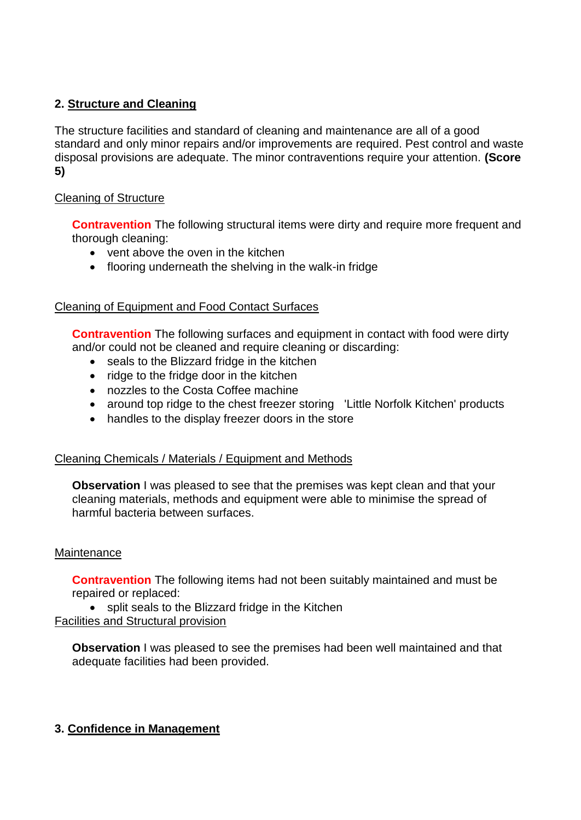## **2. Structure and Cleaning**

The structure facilities and standard of cleaning and maintenance are all of a good standard and only minor repairs and/or improvements are required. Pest control and waste disposal provisions are adequate. The minor contraventions require your attention. **(Score 5)**

## Cleaning of Structure

**Contravention** The following structural items were dirty and require more frequent and thorough cleaning:

- vent above the oven in the kitchen
- flooring underneath the shelving in the walk-in fridge

## Cleaning of Equipment and Food Contact Surfaces

**Contravention** The following surfaces and equipment in contact with food were dirty and/or could not be cleaned and require cleaning or discarding:

- seals to the Blizzard fridge in the kitchen
- ridge to the fridge door in the kitchen
- nozzles to the Costa Coffee machine
- around top ridge to the chest freezer storing 'Little Norfolk Kitchen' products
- handles to the display freezer doors in the store

# Cleaning Chemicals / Materials / Equipment and Methods

**Observation** I was pleased to see that the premises was kept clean and that your cleaning materials, methods and equipment were able to minimise the spread of harmful bacteria between surfaces.

# **Maintenance**

**Contravention** The following items had not been suitably maintained and must be repaired or replaced:

• split seals to the Blizzard fridge in the Kitchen Facilities and Structural provision

**Observation** I was pleased to see the premises had been well maintained and that adequate facilities had been provided.

# **3. Confidence in Management**